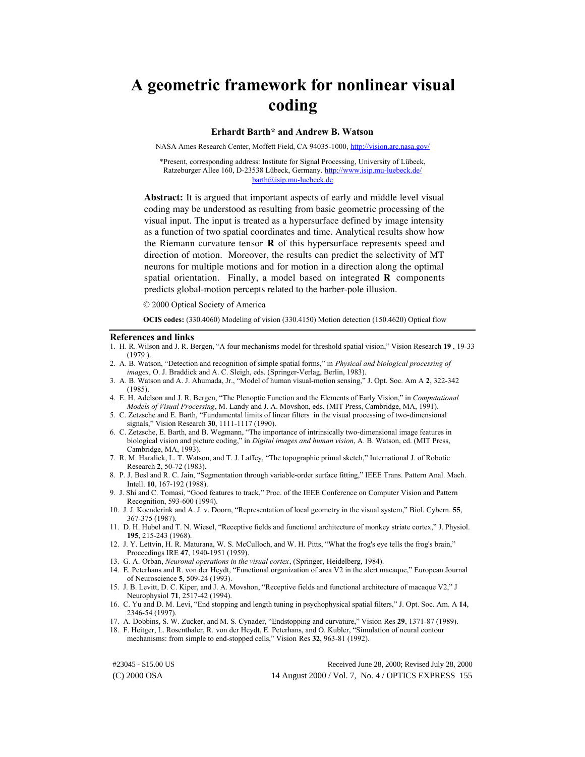# **A geometric framework for nonlinear visual coding**

# **Erhardt Barth\* and Andrew B. Watson**

NASA Ames Research Center, Moffett Field, CA 94035-1000,<http://vision.arc.nasa.gov/>

\*Present, corresponding address: Institute for Signal Processing, University of Lübeck, Ratzeburger Allee 160, D-23538 Lübeck, Germany[. http://www.isip.mu-luebeck.de/](http://www.isip.mu-luebeck.de/) barth@isip.mu-luebeck.de

**Abstract:** It is argued that important aspects of early and middle level visual coding may be understood as resulting from basic geometric processing of the visual input. The input is treated as a hypersurface defined by image intensity as a function of two spatial coordinates and time. Analytical results show how the Riemann curvature tensor **R** of this hypersurface represents speed and direction of motion. Moreover, the results can predict the selectivity of MT neurons for multiple motions and for motion in a direction along the optimal spatial orientation. Finally, a model based on integrated **R** components predicts global-motion percepts related to the barber-pole illusion.

© 2000 Optical Society of America

**OCIS codes:** (330.4060) Modeling of vision (330.4150) Motion detection (150.4620) Optical flow

#### **References and links**

- 1. H. R. Wilson and J. R. Bergen, "A four mechanisms model for threshold spatial vision," Vision Research **19** , 19-33 (1979 ).
- 2. A. B. Watson, "Detection and recognition of simple spatial forms," in *Physical and biological processing of images*, O. J. Braddick and A. C. Sleigh, eds. (Springer-Verlag, Berlin, 1983).
- 3. A. B. Watson and A. J. Ahumada, Jr., "Model of human visual-motion sensing," J. Opt. Soc. Am A **2**, 322-342 (1985).
- 4. E. H. Adelson and J. R. Bergen, "The Plenoptic Function and the Elements of Early Vision," in *Computational Models of Visual Processing*, M. Landy and J. A. Movshon, eds. (MIT Press, Cambridge, MA, 1991).
- 5. C. Zetzsche and E. Barth, "Fundamental limits of linear filters in the visual processing of two-dimensional signals," Vision Research **30**, 1111-1117 (1990).
- 6. C. Zetzsche, E. Barth, and B. Wegmann, "The importance of intrinsically two-dimensional image features in biological vision and picture coding," in *Digital images and human vision*, A. B. Watson, ed. (MIT Press, Cambridge, MA, 1993).
- 7. R. M. Haralick, L. T. Watson, and T. J. Laffey, "The topographic primal sketch," International J. of Robotic Research **2**, 50-72 (1983).
- 8. P. J. Besl and R. C. Jain, "Segmentation through variable-order surface fitting," IEEE Trans. Pattern Anal. Mach. Intell. **10**, 167-192 (1988).
- 9. J. Shi and C. Tomasi, "Good features to track," Proc. of the IEEE Conference on Computer Vision and Pattern Recognition, 593-600 (1994).
- 10. J. J. Koenderink and A. J. v. Doorn, "Representation of local geometry in the visual system," Biol. Cybern. **55**, 367-375 (1987).
- 11. D. H. Hubel and T. N. Wiesel, "Receptive fields and functional architecture of monkey striate cortex," J. Physiol. **195**, 215-243 (1968).
- 12. J. Y. Lettvin, H. R. Maturana, W. S. McCulloch, and W. H. Pitts, "What the frog's eye tells the frog's brain," Proceedings IRE **47**, 1940-1951 (1959).
- 13. G. A. Orban, *Neuronal operations in the visual cortex*, (Springer, Heidelberg, 1984).
- 14. E. Peterhans and R. von der Heydt, "Functional organization of area V2 in the alert macaque," European Journal of Neuroscience **5**, 509-24 (1993).
- 15. J. B. Levitt, D. C. Kiper, and J. A. Movshon, "Receptive fields and functional architecture of macaque V2," J Neurophysiol **71**, 2517-42 (1994).
- 16. C. Yu and D. M. Levi, "End stopping and length tuning in psychophysical spatial filters," J. Opt. Soc. Am. A **14**, 2346-54 (1997).
- 17. A. Dobbins, S. W. Zucker, and M. S. Cynader, "Endstopping and curvature," Vision Res **29**, 1371-87 (1989).
- 18. F. Heitger, L. Rosenthaler, R. von der Heydt, E. Peterhans, and O. Kubler, "Simulation of neural contour mechanisms: from simple to end-stopped cells," Vision Res **32**, 963-81 (1992).

(C) 2000 OSA 14 August 2000 / Vol. 7, No. 4 / OPTICS EXPRESS 155 #23045 - \$15.00 US Received June 28, 2000; Revised July 28, 2000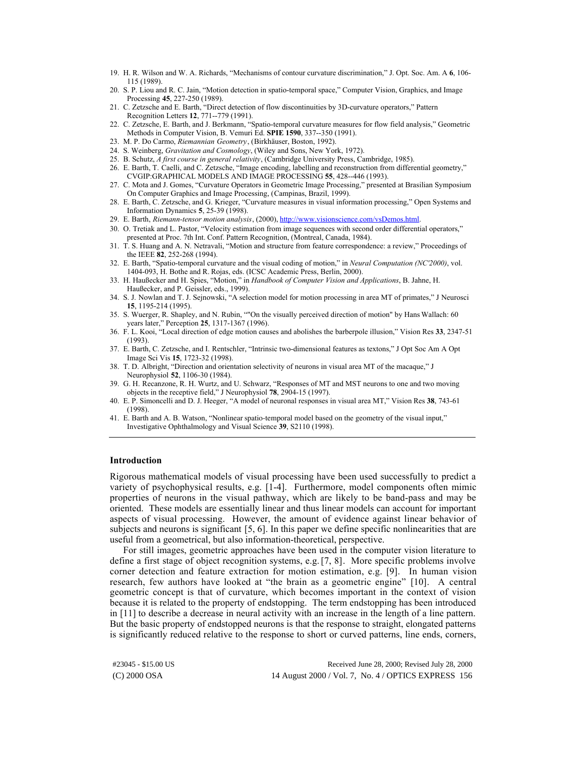- 19. H. R. Wilson and W. A. Richards, "Mechanisms of contour curvature discrimination," J. Opt. Soc. Am. A **6**, 106- 115 (1989).
- 20. S. P. Liou and R. C. Jain, "Motion detection in spatio-temporal space," Computer Vision, Graphics, and Image Processing **45**, 227-250 (1989).
- 21. C. Zetzsche and E. Barth, "Direct detection of flow discontinuities by 3D-curvature operators," Pattern Recognition Letters **12**, 771--779 (1991).
- 22. C. Zetzsche, E. Barth, and J. Berkmann, "Spatio-temporal curvature measures for flow field analysis," Geometric Methods in Computer Vision, B. Vemuri Ed. **SPIE 1590**, 337--350 (1991).
- 23. M. P. Do Carmo, *Riemannian Geometry*, (Birkhäuser, Boston, 1992).
- 24. S. Weinberg, *Gravitation and Cosmology*, (Wiley and Sons, New York, 1972).
- 25. B. Schutz, *A first course in general relativity*, (Cambridge University Press, Cambridge, 1985).
- 26. E. Barth, T. Caelli, and C. Zetzsche, "Image encoding, labelling and reconstruction from differential geometry," CVGIP:GRAPHICAL MODELS AND IMAGE PROCESSING **55**, 428--446 (1993).
- 27. C. Mota and J. Gomes, "Curvature Operators in Geometric Image Processing," presented at Brasilian Symposium On Computer Graphics and Image Processing, (Campinas, Brazil, 1999).
- 28. E. Barth, C. Zetzsche, and G. Krieger, "Curvature measures in visual information processing," Open Systems and Information Dynamics **5**, 25-39 (1998).
- 29. E. Barth, *Riemann-tensor motion analysis*, (2000)[, http://www.visionscience.com/vsDemos.html.](http://www.visionscience.com/vsDemos.html)
- 30. O. Tretiak and L. Pastor, "Velocity estimation from image sequences with second order differential operators," presented at Proc. 7th Int. Conf. Pattern Recognition, (Montreal, Canada, 1984).
- 31. T. S. Huang and A. N. Netravali, "Motion and structure from feature correspondence: a review," Proceedings of the IEEE **82**, 252-268 (1994).
- 32. E. Barth, "Spatio-temporal curvature and the visual coding of motion," in *Neural Computation (NC'2000)*, vol. 1404-093, H. Bothe and R. Rojas, eds. (ICSC Academic Press, Berlin, 2000).
- 33. H. Haußecker and H. Spies, "Motion," in *Handbook of Computer Vision and Applications*, B. Jahne, H. Haußecker, and P. Geissler, eds., 1999).
- 34. S. J. Nowlan and T. J. Sejnowski, "A selection model for motion processing in area MT of primates," J Neurosci **15**, 1195-214 (1995).
- 35. S. Wuerger, R. Shapley, and N. Rubin, ""On the visually perceived direction of motion" by Hans Wallach: 60 years later," Perception **25**, 1317-1367 (1996).
- 36. F. L. Kooi, "Local direction of edge motion causes and abolishes the barberpole illusion," Vision Res **33**, 2347-51 (1993).
- 37. E. Barth, C. Zetzsche, and I. Rentschler, "Intrinsic two-dimensional features as textons," J Opt Soc Am A Opt Image Sci Vis **15**, 1723-32 (1998).
- 38. T. D. Albright, "Direction and orientation selectivity of neurons in visual area MT of the macaque," J Neurophysiol **52**, 1106-30 (1984).
- 39. G. H. Recanzone, R. H. Wurtz, and U. Schwarz, "Responses of MT and MST neurons to one and two moving objects in the receptive field," J Neurophysiol **78**, 2904-15 (1997).
- 40. E. P. Simoncelli and D. J. Heeger, "A model of neuronal responses in visual area MT," Vision Res **38**, 743-61 (1998).
- 41. E. Barth and A. B. Watson, "Nonlinear spatio-temporal model based on the geometry of the visual input," Investigative Ophthalmology and Visual Science **39**, S2110 (1998).

#### **Introduction**

Rigorous mathematical models of visual processing have been used successfully to predict a variety of psychophysical results, e.g. [1-4]. Furthermore, model components often mimic properties of neurons in the visual pathway, which are likely to be band-pass and may be oriented. These models are essentially linear and thus linear models can account for important aspects of visual processing. However, the amount of evidence against linear behavior of subjects and neurons is significant [5, 6]. In this paper we define specific nonlinearities that are useful from a geometrical, but also information-theoretical, perspective.

For still images, geometric approaches have been used in the computer vision literature to define a first stage of object recognition systems, e.g. [7, 8]. More specific problems involve corner detection and feature extraction for motion estimation, e.g. [9]. In human vision research, few authors have looked at "the brain as a geometric engine" [10]. A central geometric concept is that of curvature, which becomes important in the context of vision because it is related to the property of endstopping. The term endstopping has been introduced in [11] to describe a decrease in neural activity with an increase in the length of a line pattern. But the basic property of endstopped neurons is that the response to straight, elongated patterns is significantly reduced relative to the response to short or curved patterns, line ends, corners,

(C) 2000 OSA 14 August 2000 / Vol. 7, No. 4 / OPTICS EXPRESS 156 #23045 - \$15.00 US Received June 28, 2000; Revised July 28, 2000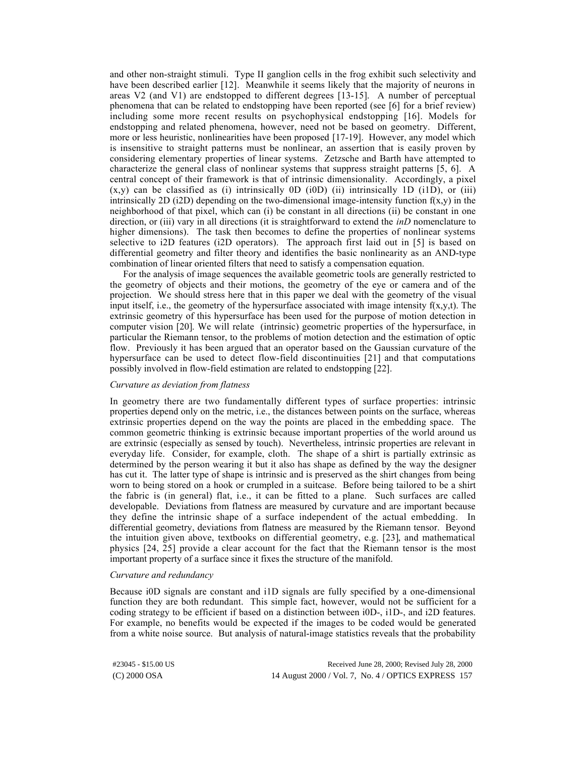and other non-straight stimuli. Type II ganglion cells in the frog exhibit such selectivity and have been described earlier [12]. Meanwhile it seems likely that the majority of neurons in areas V2 (and V1) are endstopped to different degrees [13-15]. A number of perceptual phenomena that can be related to endstopping have been reported (see [6] for a brief review) including some more recent results on psychophysical endstopping [16]. Models for endstopping and related phenomena, however, need not be based on geometry. Different, more or less heuristic, nonlinearities have been proposed [17-19]. However, any model which is insensitive to straight patterns must be nonlinear, an assertion that is easily proven by considering elementary properties of linear systems. Zetzsche and Barth have attempted to characterize the general class of nonlinear systems that suppress straight patterns [5, 6]. A central concept of their framework is that of intrinsic dimensionality. Accordingly, a pixel  $(x,y)$  can be classified as (i) intrinsically 0D (i0D) (ii) intrinsically 1D (i1D), or (iii) intrinsically 2D (i2D) depending on the two-dimensional image-intensity function  $f(x,y)$  in the neighborhood of that pixel, which can (i) be constant in all directions (ii) be constant in one direction, or (iii) vary in all directions (it is straightforward to extend the *inD* nomenclature to higher dimensions). The task then becomes to define the properties of nonlinear systems selective to i2D features (i2D operators). The approach first laid out in [5] is based on differential geometry and filter theory and identifies the basic nonlinearity as an AND-type combination of linear oriented filters that need to satisfy a compensation equation.

For the analysis of image sequences the available geometric tools are generally restricted to the geometry of objects and their motions, the geometry of the eye or camera and of the projection. We should stress here that in this paper we deal with the geometry of the visual input itself, i.e., the geometry of the hypersurface associated with image intensity  $f(x,y,t)$ . The extrinsic geometry of this hypersurface has been used for the purpose of motion detection in computer vision [20]. We will relate (intrinsic) geometric properties of the hypersurface, in particular the Riemann tensor, to the problems of motion detection and the estimation of optic flow. Previously it has been argued that an operator based on the Gaussian curvature of the hypersurface can be used to detect flow-field discontinuities [21] and that computations possibly involved in flow-field estimation are related to endstopping [22].

## *Curvature as deviation from flatness*

In geometry there are two fundamentally different types of surface properties: intrinsic properties depend only on the metric, i.e., the distances between points on the surface, whereas extrinsic properties depend on the way the points are placed in the embedding space. The common geometric thinking is extrinsic because important properties of the world around us are extrinsic (especially as sensed by touch). Nevertheless, intrinsic properties are relevant in everyday life. Consider, for example, cloth. The shape of a shirt is partially extrinsic as determined by the person wearing it but it also has shape as defined by the way the designer has cut it. The latter type of shape is intrinsic and is preserved as the shirt changes from being worn to being stored on a hook or crumpled in a suitcase. Before being tailored to be a shirt the fabric is (in general) flat, i.e., it can be fitted to a plane. Such surfaces are called developable. Deviations from flatness are measured by curvature and are important because they define the intrinsic shape of a surface independent of the actual embedding. In differential geometry, deviations from flatness are measured by the Riemann tensor. Beyond the intuition given above, textbooks on differential geometry, e.g. [23], and mathematical physics [24, 25] provide a clear account for the fact that the Riemann tensor is the most important property of a surface since it fixes the structure of the manifold.

#### *Curvature and redundancy*

Because i0D signals are constant and i1D signals are fully specified by a one-dimensional function they are both redundant. This simple fact, however, would not be sufficient for a coding strategy to be efficient if based on a distinction between i0D-, i1D-, and i2D features. For example, no benefits would be expected if the images to be coded would be generated from a white noise source. But analysis of natural-image statistics reveals that the probability

(C) 2000 OSA 14 August 2000 / Vol. 7, No. 4 / OPTICS EXPRESS 157 #23045 - \$15.00 US Received June 28, 2000; Revised July 28, 2000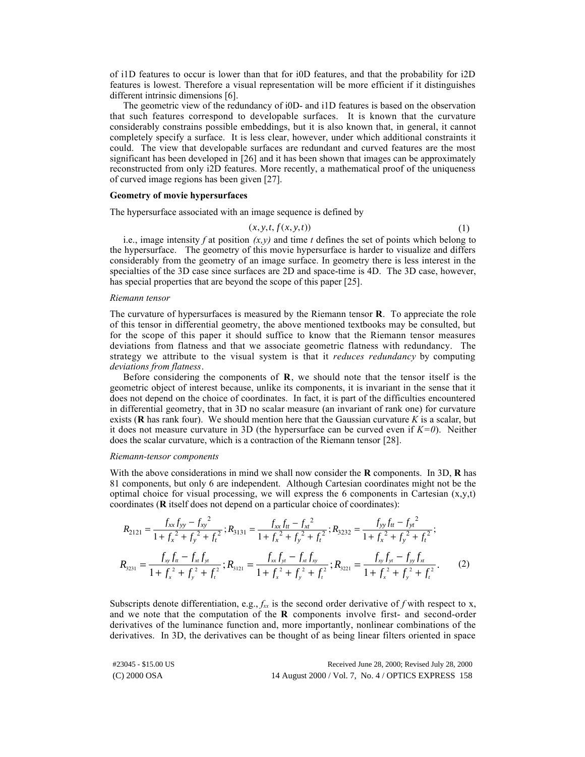of i1D features to occur is lower than that for i0D features, and that the probability for i2D features is lowest. Therefore a visual representation will be more efficient if it distinguishes different intrinsic dimensions [6].

The geometric view of the redundancy of i0D- and i1D features is based on the observation that such features correspond to developable surfaces. It is known that the curvature considerably constrains possible embeddings, but it is also known that, in general, it cannot completely specify a surface. It is less clear, however, under which additional constraints it could. The view that developable surfaces are redundant and curved features are the most significant has been developed in [26] and it has been shown that images can be approximately reconstructed from only i2D features. More recently, a mathematical proof of the uniqueness of curved image regions has been given [27].

## **Geometry of movie hypersurfaces**

The hypersurface associated with an image sequence is defined by

$$
(x, y, t, f(x, y, t)) \tag{1}
$$

i.e., image intensity *f* at position  $(x, y)$  and time *t* defines the set of points which belong to the hypersurface. The geometry of this movie hypersurface is harder to visualize and differs considerably from the geometry of an image surface. In geometry there is less interest in the specialties of the 3D case since surfaces are 2D and space-time is 4D. The 3D case, however, has special properties that are beyond the scope of this paper [25].

### *Riemann tensor*

The curvature of hypersurfaces is measured by the Riemann tensor **R**. To appreciate the role of this tensor in differential geometry, the above mentioned textbooks may be consulted, but for the scope of this paper it should suffice to know that the Riemann tensor measures deviations from flatness and that we associate geometric flatness with redundancy. The strategy we attribute to the visual system is that it *reduces redundancy* by computing *deviations from flatness*.

Before considering the components of **R**, we should note that the tensor itself is the geometric object of interest because, unlike its components, it is invariant in the sense that it does not depend on the choice of coordinates. In fact, it is part of the difficulties encountered in differential geometry, that in 3D no scalar measure (an invariant of rank one) for curvature exists ( **has rank four). We should mention here that the Gaussian curvature**  $K$  **is a scalar, but** it does not measure curvature in 3D (the hypersurface can be curved even if *K=0*). Neither does the scalar curvature, which is a contraction of the Riemann tensor [28].

## *Riemann-tensor components*

With the above considerations in mind we shall now consider the **R** components. In 3D, **R** has 81 components, but only 6 are independent. Although Cartesian coordinates might not be the optimal choice for visual processing, we will express the 6 components in Cartesian  $(x,y,t)$ coordinates (**R** itself does not depend on a particular choice of coordinates):

$$
R_{2121} = \frac{f_{xx}f_{yy} - f_{xy}^2}{1 + f_x^2 + f_y^2 + f_t^2}; R_{3131} = \frac{f_{xx}f_{tt} - f_{xt}^2}{1 + f_x^2 + f_y^2 + f_t^2}; R_{3232} = \frac{f_{yy}f_{tt} - f_{yt}^2}{1 + f_x^2 + f_y^2 + f_t^2};
$$
  
\n
$$
R_{3231} = \frac{f_{xy}f_{tt} - f_{xx}f_{yt}}{1 + f_x^2 + f_y^2 + f_t^2}; R_{3121} = \frac{f_{xx}f_{yt} - f_{xt}f_{xy}}{1 + f_x^2 + f_y^2 + f_t^2}; R_{3221} = \frac{f_{xy}f_{yt} - f_{yy}f_{xt}}{1 + f_x^2 + f_y^2 + f_t^2}.
$$
 (2)

Subscripts denote differentiation, e.g.,  $f_{xx}$  is the second order derivative of  $f$  with respect to x, and we note that the computation of the **R** components involve first- and second-order derivatives of the luminance function and, more importantly, nonlinear combinations of the derivatives. In 3D, the derivatives can be thought of as being linear filters oriented in space

(C) 2000 OSA 14 August 2000 / Vol. 7, No. 4 / OPTICS EXPRESS 158 #23045 - \$15.00 US Received June 28, 2000; Revised July 28, 2000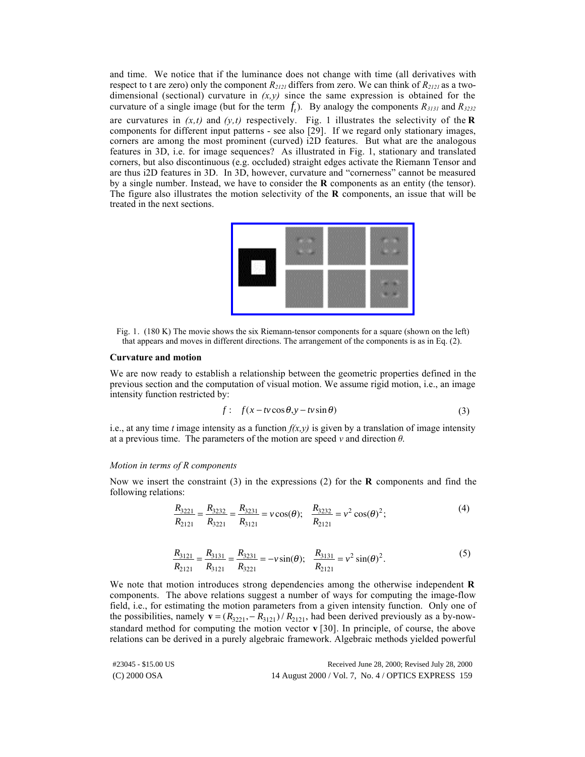and time. We notice that if the luminance does not change with time (all derivatives with respect to t are zero) only the component *R2121* differs from zero. We can think of *R2121* as a twodimensional (sectional) curvature in  $(x, y)$  since the same expression is obtained for the curvature of a single image (but for the term  $f_t$ ). By analogy the components  $R_{3131}$  and  $R_{3232}$ are curvatures in  $(x,t)$  and  $(y,t)$  respectively. Fig. 1 illustrates the selectivity of the **R** components for different input patterns - see also [29]. If we regard only stationary images, corners are among the most prominent (curved) i2D features. But what are the analogous features in 3D, i.e. for image sequences? As illustrated in Fig. 1, stationary and translated corners, but also discontinuous (e.g. occluded) straight edges activate the Riemann Tensor and are thus i2D features in 3D. In 3D, however, curvature and "cornerness" cannot be measured by a single number. Instead, we have to consider the **R** components as an entity (the tensor). The figure also illustrates the motion selectivity of the **R** components, an issue that will be treated in the next sections.

Fig. 1. (180 K) The movie shows the six Riemann-tensor components for a square (shown on the left) that appears and moves in different directions. The arrangement of the components is as in Eq. (2).

#### **Curvature and motion**

We are now ready to establish a relationship between the geometric properties defined in the previous section and the computation of visual motion. We assume rigid motion, i.e., an image intensity function restricted by:

$$
f: f(x - tv\cos\theta, y - tv\sin\theta)
$$
 (3)

i.e., at any time *t* image intensity as a function  $f(x, y)$  is given by a translation of image intensity at a previous time. The parameters of the motion are speed  $\nu$  and direction  $\theta$ .

# *Motion in terms of R components*

Now we insert the constraint (3) in the expressions (2) for the **R** components and find the following relations:

$$
\frac{R_{3221}}{R_{2121}} = \frac{R_{3232}}{R_{3221}} = \frac{R_{3231}}{R_{3121}} = v \cos(\theta); \quad \frac{R_{3232}}{R_{2121}} = v^2 \cos(\theta)^2; \tag{4}
$$

$$
\frac{R_{3121}}{R_{2121}} = \frac{R_{3131}}{R_{3121}} = \frac{R_{3231}}{R_{3221}} = -\nu \sin(\theta); \quad \frac{R_{3131}}{R_{2121}} = \nu^2 \sin(\theta)^2.
$$
 (5)

We note that motion introduces strong dependencies among the otherwise independent **R** components. The above relations suggest a number of ways for computing the image-flow field, i.e., for estimating the motion parameters from a given intensity function. Only one of the possibilities, namely  $\mathbf{v} = (R_{3221}, -R_{3121})/R_{2121}$ , had been derived previously as a by-nowstandard method for computing the motion vector **v** [30]. In principle, of course, the above relations can be derived in a purely algebraic framework. Algebraic methods yielded powerful

| #23045 - \$15.00 US | Received June 28, 2000; Revised July 28, 2000       |
|---------------------|-----------------------------------------------------|
| (C) 2000 OSA        | 14 August 2000 / Vol. 7, No. 4 / OPTICS EXPRESS 159 |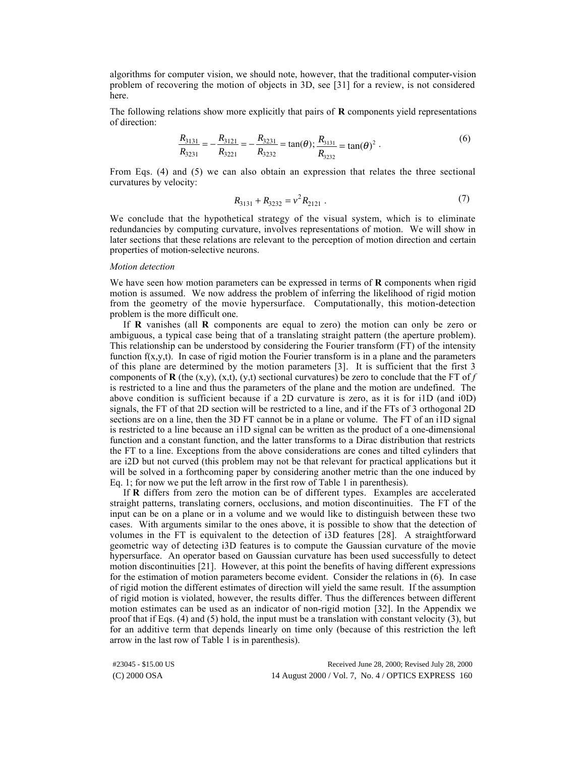algorithms for computer vision, we should note, however, that the traditional computer-vision problem of recovering the motion of objects in 3D, see [31] for a review, is not considered here.

The following relations show more explicitly that pairs of **R** components yield representations of direction:

$$
\frac{R_{3131}}{R_{3231}} = -\frac{R_{3121}}{R_{3221}} = -\frac{R_{3231}}{R_{3232}} = \tan(\theta); \frac{R_{3131}}{R_{3232}} = \tan(\theta)^2.
$$
 (6)

From Eqs. (4) and (5) we can also obtain an expression that relates the three sectional curvatures by velocity:

$$
R_{3131} + R_{3232} = v^2 R_{2121} . \tag{7}
$$

We conclude that the hypothetical strategy of the visual system, which is to eliminate redundancies by computing curvature, involves representations of motion. We will show in later sections that these relations are relevant to the perception of motion direction and certain properties of motion-selective neurons.

### *Motion detection*

We have seen how motion parameters can be expressed in terms of **R** components when rigid motion is assumed. We now address the problem of inferring the likelihood of rigid motion from the geometry of the movie hypersurface. Computationally, this motion-detection problem is the more difficult one.

If **R** vanishes (all **R** components are equal to zero) the motion can only be zero or ambiguous, a typical case being that of a translating straight pattern (the aperture problem). This relationship can be understood by considering the Fourier transform (FT) of the intensity function  $f(x,y,t)$ . In case of rigid motion the Fourier transform is in a plane and the parameters of this plane are determined by the motion parameters [3]. It is sufficient that the first 3 components of **R** (the (x,y), (x,t), (y,t) sectional curvatures) be zero to conclude that the FT of  $f$ is restricted to a line and thus the parameters of the plane and the motion are undefined. The above condition is sufficient because if a 2D curvature is zero, as it is for i1D (and i0D) signals, the FT of that 2D section will be restricted to a line, and if the FTs of 3 orthogonal 2D sections are on a line, then the 3D FT cannot be in a plane or volume. The FT of an i1D signal is restricted to a line because an i1D signal can be written as the product of a one-dimensional function and a constant function, and the latter transforms to a Dirac distribution that restricts the FT to a line. Exceptions from the above considerations are cones and tilted cylinders that are i2D but not curved (this problem may not be that relevant for practical applications but it will be solved in a forthcoming paper by considering another metric than the one induced by Eq. 1; for now we put the left arrow in the first row of Table 1 in parenthesis).

If **R** differs from zero the motion can be of different types. Examples are accelerated straight patterns, translating corners, occlusions, and motion discontinuities. The FT of the input can be on a plane or in a volume and we would like to distinguish between these two cases. With arguments similar to the ones above, it is possible to show that the detection of volumes in the FT is equivalent to the detection of i3D features [28]. A straightforward geometric way of detecting i3D features is to compute the Gaussian curvature of the movie hypersurface. An operator based on Gaussian curvature has been used successfully to detect motion discontinuities [21]. However, at this point the benefits of having different expressions for the estimation of motion parameters become evident. Consider the relations in (6). In case of rigid motion the different estimates of direction will yield the same result. If the assumption of rigid motion is violated, however, the results differ. Thus the differences between different motion estimates can be used as an indicator of non-rigid motion [32]. In the Appendix we proof that if Eqs. (4) and (5) hold, the input must be a translation with constant velocity (3), but for an additive term that depends linearly on time only (because of this restriction the left arrow in the last row of Table 1 is in parenthesis).

(C) 2000 OSA 14 August 2000 / Vol. 7, No. 4 / OPTICS EXPRESS 160 #23045 - \$15.00 US Received June 28, 2000; Revised July 28, 2000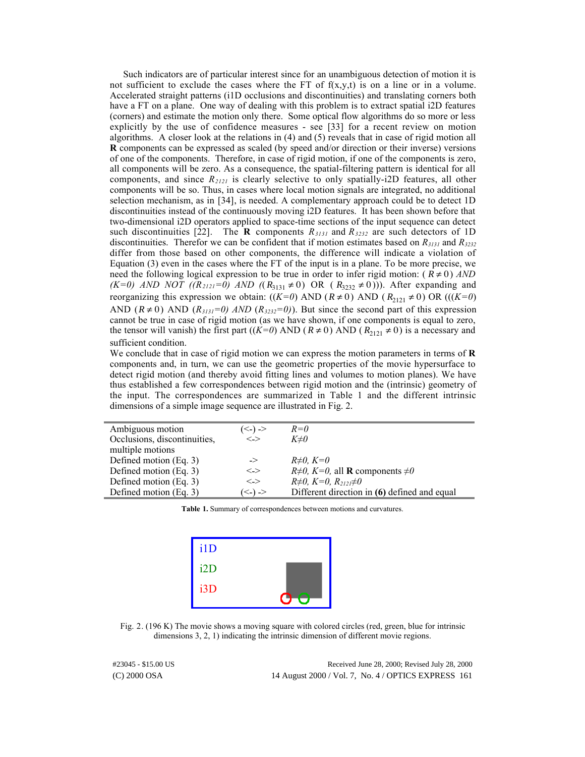Such indicators are of particular interest since for an unambiguous detection of motion it is not sufficient to exclude the cases where the FT of  $f(x,y,t)$  is on a line or in a volume. Accelerated straight patterns (i1D occlusions and discontinuities) and translating corners both have a FT on a plane. One way of dealing with this problem is to extract spatial i2D features (corners) and estimate the motion only there. Some optical flow algorithms do so more or less explicitly by the use of confidence measures - see [33] for a recent review on motion algorithms. A closer look at the relations in (4) and (5) reveals that in case of rigid motion all **R** components can be expressed as scaled (by speed and/or direction or their inverse) versions of one of the components. Therefore, in case of rigid motion, if one of the components is zero, all components will be zero. As a consequence, the spatial-filtering pattern is identical for all components, and since *R2121* is clearly selective to only spatially-i2D features, all other components will be so. Thus, in cases where local motion signals are integrated, no additional selection mechanism, as in [34], is needed. A complementary approach could be to detect 1D discontinuities instead of the continuously moving i2D features. It has been shown before that two-dimensional i2D operators applied to space-time sections of the input sequence can detect such discontinuities [22]. The **R** components *R3131* and *R3232* are such detectors of 1D discontinuities. Therefor we can be confident that if motion estimates based on *R3131* and *R3232* differ from those based on other components, the difference will indicate a violation of Equation (3) even in the cases where the FT of the input is in a plane. To be more precise, we need the following logical expression to be true in order to infer rigid motion:  $(R \neq 0)$  *AND (K=0) AND NOT* ( $(R_{2121} = 0)$  *AND* ( $(R_{3131} ≠ 0)$  OR ( $R_{3232} ≠ 0$ )). After expanding and reorganizing this expression we obtain:  $((K=0)$  AND  $(R \neq 0)$  AND  $(R_{2121} \neq 0)$  OR  $(((K=0)$ AND  $(R \neq 0)$  AND  $(R_{3131} = 0)$  AND  $(R_{3232} = 0)$ . But since the second part of this expression cannot be true in case of rigid motion (as we have shown, if one components is equal to zero, the tensor will vanish) the first part (( $K=0$ ) AND ( $R \ne 0$ ) AND ( $R_{2121} \ne 0$ ) is a necessary and sufficient condition.

We conclude that in case of rigid motion we can express the motion parameters in terms of **R** components and, in turn, we can use the geometric properties of the movie hypersurface to detect rigid motion (and thereby avoid fitting lines and volumes to motion planes). We have thus established a few correspondences between rigid motion and the (intrinsic) geometry of the input. The correspondences are summarized in Table 1 and the different intrinsic dimensions of a simple image sequence are illustrated in Fig. 2.

| Ambiguous motion             | $\left(\leq\right)$ $\geq$                     | $R=0$                                                |
|------------------------------|------------------------------------------------|------------------------------------------------------|
| Occlusions, discontinuities, | $\left\langle \cdot \right\rangle$             | $K \neq 0$                                           |
| multiple motions             |                                                |                                                      |
| Defined motion (Eq. 3)       | ->                                             | $R\neq 0$ , $K=0$                                    |
| Defined motion (Eq. 3)       | $\left\langle \rightarrow\right\rangle$        | $R\neq 0$ , $K=0$ , all <b>R</b> components $\neq 0$ |
| Defined motion (Eq. 3)       | $\left\langle \rightarrow\right\rangle$        | $R\neq 0, K=0, R_{2121}\neq 0$                       |
| Defined motion (Eq. 3)       | $\left\langle \langle . \rangle \right\rangle$ | Different direction in (6) defined and equal         |

**Table 1.** Summary of correspondences between motions and curvatures.



Fig. 2. (196 K) The movie shows a moving square with colored circles (red, green, blue for intrinsic dimensions 3, 2, 1) indicating the intrinsic dimension of different movie regions.

(C) 2000 OSA 14 August 2000 / Vol. 7, No. 4 / OPTICS EXPRESS 161 #23045 - \$15.00 US Received June 28, 2000; Revised July 28, 2000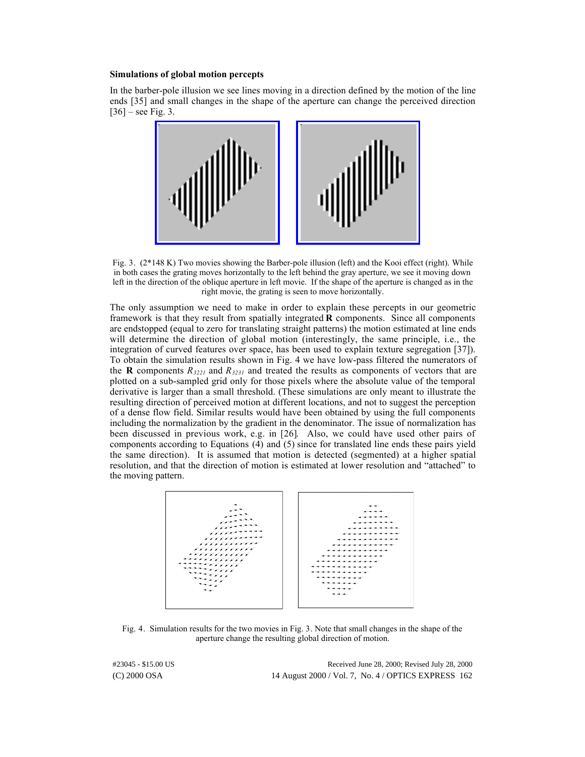#### **Simulations of global motion percepts**

In the barber-pole illusion we see lines moving in a direction defined by the motion of the line ends [35] and small changes in the shape of the aperture can change the perceived direction  $[36]$  – see Fig. 3.



Fig. 3. (2\*148 K) Two movies showing the Barber-pole illusion (left) and the Kooi effect (right). While in both cases the grating moves horizontally to the left behind the gray aperture, we see it moving down left in the direction of the oblique aperture in left movie. If the shape of the aperture is changed as in the right movie, the grating is seen to move horizontally.

The only assumption we need to make in order to explain these percepts in our geometric framework is that they result from spatially integrated **R** components. Since all components are endstopped (equal to zero for translating straight patterns) the motion estimated at line ends will determine the direction of global motion (interestingly, the same principle, i.e., the integration of curved features over space, has been used to explain texture segregation [37]). To obtain the simulation results shown in Fig. 4 we have low-pass filtered the numerators of the **R** components  $R_{3221}$  and  $R_{3231}$  and treated the results as components of vectors that are plotted on a sub-sampled grid only for those pixels where the absolute value of the temporal derivative is larger than a small threshold. (These simulations are only meant to illustrate the resulting direction of perceived motion at different locations, and not to suggest the perception of a dense flow field. Similar results would have been obtained by using the full components including the normalization by the gradient in the denominator. The issue of normalization has been discussed in previous work, e.g. in [26]. Also, we could have used other pairs of components according to Equations (4) and (5) since for translated line ends these pairs yield the same direction). It is assumed that motion is detected (segmented) at a higher spatial resolution, and that the direction of motion is estimated at lower resolution and "attached" to the moving pattern.

| a construction of the construction of the construction of the construction of the construction of the construction of the construction of the construction of the construction of the construction of the construction of the                                                                                                                                                                                                                                   | ana no no na hana na hana na hana na hana na hana na ha                                                                                                                                                                        |
|-----------------------------------------------------------------------------------------------------------------------------------------------------------------------------------------------------------------------------------------------------------------------------------------------------------------------------------------------------------------------------------------------------------------------------------------------------------------|--------------------------------------------------------------------------------------------------------------------------------------------------------------------------------------------------------------------------------|
|                                                                                                                                                                                                                                                                                                                                                                                                                                                                 |                                                                                                                                                                                                                                |
| a construction of the construction of the construction of the construction of the construction of the construction of the construction of the construction of the construction of the construction of the construction of the                                                                                                                                                                                                                                   | a carrier and a carrier and a carrier and a carrier and                                                                                                                                                                        |
| والمتماد والمتحاج والمتحصون والمتماد والمتماد والمتمادة                                                                                                                                                                                                                                                                                                                                                                                                         | a de la caractería de la caractería de la caractería de la caractería de la caractería de la caractería de la                                                                                                                  |
| والمتمام والمتحصول والمتمام والمتمارية                                                                                                                                                                                                                                                                                                                                                                                                                          | and the contract of the contract and an appropriate the contract of the contract of the contract of the contract of the contract of the contract of the contract of the contract of the contract of the contract of the contra |
| والمتاريب المحجم والمرارين والمتارين والمتارين                                                                                                                                                                                                                                                                                                                                                                                                                  | a construction of the component of the construction of the construction of the construction of the construction of the construction of the construction of the construction of the construction of the construction of the con |
| and a second of provider the                                                                                                                                                                                                                                                                                                                                                                                                                                    | a construction of the component of the construction of the construction of the construction of the construction of the construction of the construction of the construction of the construction of the construction of the con |
| $\cdots \cdots \gamma$                                                                                                                                                                                                                                                                                                                                                                                                                                          | a de la caractería de la proposición en el mente de la caractería de la caractería de la caractería de la cara                                                                                                                 |
| $\cdots \cdots \mu \mu \mu \nu \nu \nu \nu \nu \nu \nu \nu$                                                                                                                                                                                                                                                                                                                                                                                                     | a construction of the proposition of the construction of the construction of the construction of the construction of                                                                                                           |
| $\mathcal{L}(\mathcal{L}(\mathcal{L})\cap \mathcal{L}(\mathcal{L})\cap \mathcal{L}(\mathcal{L})\cap \mathcal{L}(\mathcal{L}(\mathcal{L})\cap \mathcal{L}(\mathcal{L}(\mathcal{L}(\mathcal{L}(\mathcal{L}(\mathcal{L}(\mathcal{L}(\mathcal{L}(\mathcal{L}(\mathcal{L}(\mathcal{L}(\mathcal{L}(\mathcal{L}(\mathcal{L}(\mathcal{L}(\mathcal{L}(\mathcal{L}(\mathcal{L}(\mathcal{L}(\mathcal{L}(\mathcal{L}(\mathcal{L}(\mathcal{L}(\mathcal{L}(\mathcal{L}(\math$ | a de la característica de la característica de la característica de la característica de la característica de                                                                                                                  |
|                                                                                                                                                                                                                                                                                                                                                                                                                                                                 | a de la componición de la construcción de la construcción de la construcción de la construcción de la construcción de la construcción de la construcción de la construcción de la construcción de la construcción de la constr |
| $\mathcal{L}^{\infty}$ , where the the theoretical properties of $\mathcal{L}^{\infty}$                                                                                                                                                                                                                                                                                                                                                                         | a de la componibilidad de la componibilidad de la componibilidad de la componibilidad de la componibilidad de                                                                                                                  |
| $\mathcal{L}$ , where is a set of the set of $\mathcal{L}$ , where $\mathcal{L}$                                                                                                                                                                                                                                                                                                                                                                                | a de la componentación de la construcción de la construcción de la construcción de la construcción de la construcción de la construcción de la construcción de la construcción de la construcción de la construcción de la con |
|                                                                                                                                                                                                                                                                                                                                                                                                                                                                 | a de <del>la caractería de la caractería</del> de la caractería                                                                                                                                                                |
| $\overline{\phantom{a}}$                                                                                                                                                                                                                                                                                                                                                                                                                                        | a construction of the components of the con-                                                                                                                                                                                   |
| and the company of the company of the company of the company of the company of the company of the company of the company of the company of the company of the company of the company of the company of the company of the comp                                                                                                                                                                                                                                  | <u>. <del>.</del> .</u>                                                                                                                                                                                                        |
| a da a de <b>diversitas p</b> or a de la const                                                                                                                                                                                                                                                                                                                                                                                                                  | a di sebagai <del>dan kacamatan dan sebagai di sebagai dan sebagai dan sebagai dan sebagai dan sebagai dan sebagai</del>                                                                                                       |
| بصحاب بالمرابين<br>anger en een verken.                                                                                                                                                                                                                                                                                                                                                                                                                         |                                                                                                                                                                                                                                |
|                                                                                                                                                                                                                                                                                                                                                                                                                                                                 |                                                                                                                                                                                                                                |
| a caracteristic construction of the contract of the contract of the contract of the contract of the contract of                                                                                                                                                                                                                                                                                                                                                 | a construction of the construction of the construction of the construction of                                                                                                                                                  |
| a carra carra carra carra carra carra carra carra carra car                                                                                                                                                                                                                                                                                                                                                                                                     | a construction of the construction of the construction of the construction of the construction of the construction of the construction of the construction of the construction of the construction of the construction of the  |
| a carra carra carra carra carra carra carra carra carra carra                                                                                                                                                                                                                                                                                                                                                                                                   |                                                                                                                                                                                                                                |

Fig. 4. Simulation results for the two movies in Fig. 3. Note that small changes in the shape of the aperture change the resulting global direction of motion.

(C) 2000 OSA 14 August 2000 / Vol. 7, No. 4 / OPTICS EXPRESS 162 #23045 - \$15.00 US Received June 28, 2000; Revised July 28, 2000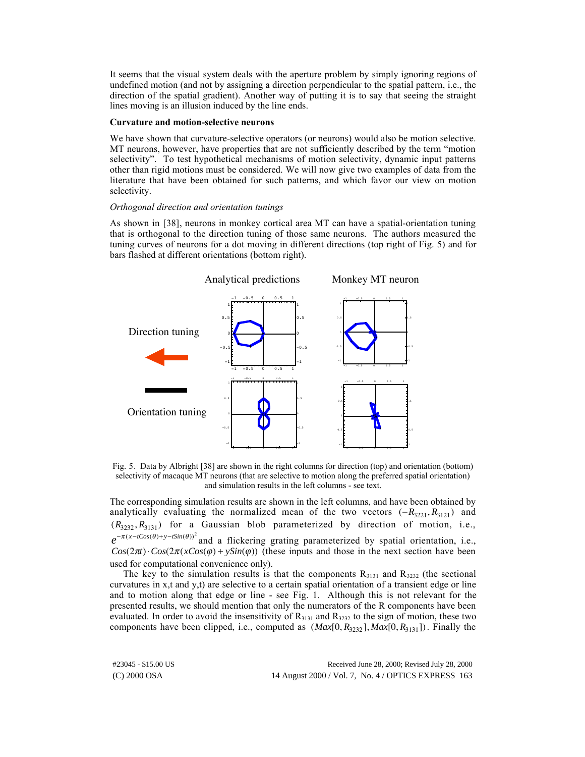It seems that the visual system deals with the aperture problem by simply ignoring regions of undefined motion (and not by assigning a direction perpendicular to the spatial pattern, i.e., the direction of the spatial gradient). Another way of putting it is to say that seeing the straight lines moving is an illusion induced by the line ends.

#### **Curvature and motion-selective neurons**

We have shown that curvature-selective operators (or neurons) would also be motion selective. MT neurons, however, have properties that are not sufficiently described by the term "motion selectivity". To test hypothetical mechanisms of motion selectivity, dynamic input patterns other than rigid motions must be considered. We will now give two examples of data from the literature that have been obtained for such patterns, and which favor our view on motion selectivity.

## *Orthogonal direction and orientation tunings*

As shown in [38], neurons in monkey cortical area MT can have a spatial-orientation tuning that is orthogonal to the direction tuning of those same neurons. The authors measured the tuning curves of neurons for a dot moving in different directions (top right of Fig. 5) and for bars flashed at different orientations (bottom right).



Fig. 5. Data by Albright [38] are shown in the right columns for direction (top) and orientation (bottom) selectivity of macaque MT neurons (that are selective to motion along the preferred spatial orientation) and simulation results in the left columns - see text.

The corresponding simulation results are shown in the left columns, and have been obtained by analytically evaluating the normalized mean of the two vectors  $(-R_{3221}, R_{3121})$  and  $(R_{3232}, R_{3131})$  for a Gaussian blob parameterized by direction of motion, i.e.,  $e^{-\pi(x-t\cos(\theta)+y-t\sin(\theta))^2}$  and a flickering grating parameterized by spatial orientation, i.e.,  $Cos(2\pi t) \cdot Cos(2\pi (xCos(\varphi) + ySin(\varphi))$  (these inputs and those in the next section have been used for computational convenience only).

The key to the simulation results is that the components  $R_{3131}$  and  $R_{3232}$  (the sectional curvatures in x,t and y,t) are selective to a certain spatial orientation of a transient edge or line and to motion along that edge or line - see Fig. 1. Although this is not relevant for the presented results, we should mention that only the numerators of the R components have been evaluated. In order to avoid the insensitivity of  $R_{3131}$  and  $R_{3232}$  to the sign of motion, these two components have been clipped, i.e., computed as  $(Max[0, R_{3232}], Max[0, R_{3131}])$ . Finally the

(C) 2000 OSA 14 August 2000 / Vol. 7, No. 4 / OPTICS EXPRESS 163 #23045 - \$15.00 US Received June 28, 2000; Revised July 28, 2000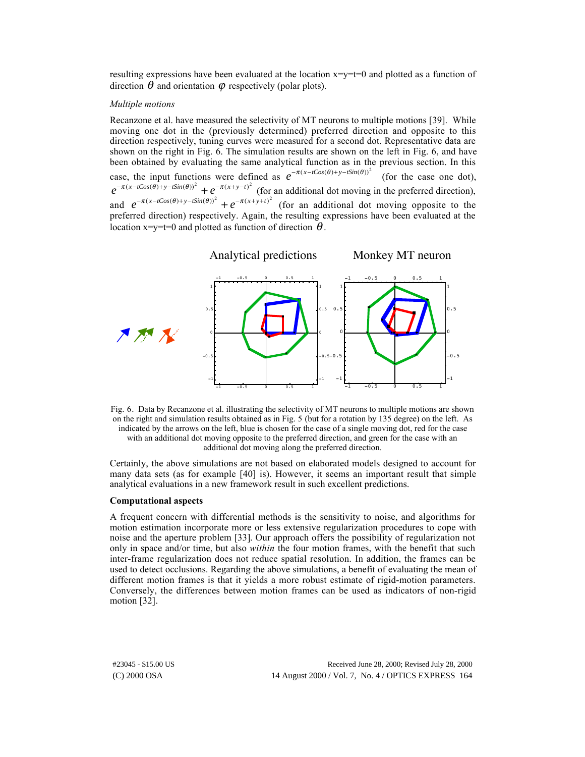resulting expressions have been evaluated at the location  $x=y=t=0$  and plotted as a function of direction  $\theta$  and orientation  $\varphi$  respectively (polar plots).

#### *Multiple motions*

Recanzone et al. have measured the selectivity of MT neurons to multiple motions [39]. While moving one dot in the (previously determined) preferred direction and opposite to this direction respectively, tuning curves were measured for a second dot. Representative data are shown on the right in Fig. 6. The simulation results are shown on the left in Fig. 6, and have been obtained by evaluating the same analytical function as in the previous section. In this case, the input functions were defined as  $e^{-\pi(x-tCos(\theta)+y-tSin(\theta))^2}$  (for the case one dot),  $e^{-\pi(x-tCos(\theta)+y-tSin(\theta))^2}+e^{-\pi(x+y-t)^2}$  (for an additional dot moving in the preferred direction), and  $e^{-\pi(x-tCos(\theta)+y-tSin(\theta))^2} + e^{-\pi(x+y+t)^2}$  (for an additional dot moving opposite to the preferred direction) respectively. Again, the resulting expressions have been evaluated at the location  $x=y=t=0$  and plotted as function of direction  $\theta$ .



Fig. 6. Data by Recanzone et al. illustrating the selectivity of MT neurons to multiple motions are shown on the right and simulation results obtained as in Fig. 5 (but for a rotation by 135 degree) on the left. As indicated by the arrows on the left, blue is chosen for the case of a single moving dot, red for the case with an additional dot moving opposite to the preferred direction, and green for the case with an additional dot moving along the preferred direction.

Certainly, the above simulations are not based on elaborated models designed to account for many data sets (as for example [40] is). However, it seems an important result that simple analytical evaluations in a new framework result in such excellent predictions.

#### **Computational aspects**

A frequent concern with differential methods is the sensitivity to noise, and algorithms for motion estimation incorporate more or less extensive regularization procedures to cope with noise and the aperture problem [33]. Our approach offers the possibility of regularization not only in space and/or time, but also *within* the four motion frames, with the benefit that such inter-frame regularization does not reduce spatial resolution. In addition, the frames can be used to detect occlusions. Regarding the above simulations, a benefit of evaluating the mean of different motion frames is that it yields a more robust estimate of rigid-motion parameters. Conversely, the differences between motion frames can be used as indicators of non-rigid motion [32].